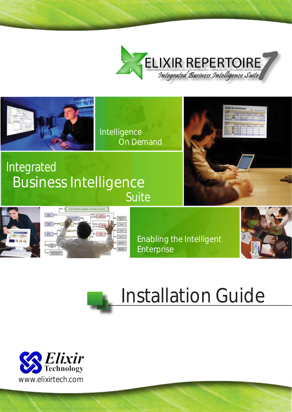



Intelligence On Demand

### Integrated Suite Business Intelligence







Enabling the Intelligent Enterprise



# Installation Guide

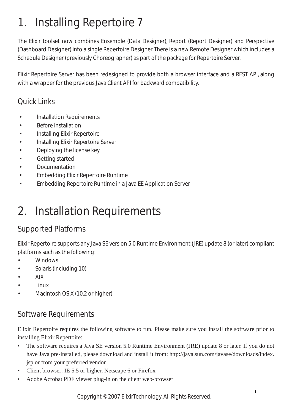### 1. Installing Repertoire 7

The Elixir toolset now combines Ensemble (Data Designer), Report (Report Designer) and Perspective (Dashboard Designer) into a single Repertoire Designer. There is a new Remote Designer which includes a Schedule Designer (previously Choreographer) as part of the package for Repertoire Server.

Elixir Repertoire Server has been redesigned to provide both a browser interface and a REST API, along with a wrapper for the previous Java Client API for backward compatibility.

#### Quick Links

- Installation Requirements
- [Before Installation](#page-2-0)
- [Installing Elixir Repertoire](#page-3-0)
- [Installing Elixir Repertoire Server](#page-5-0)
- [Deploying the license key](#page-5-0)
- [Getting started](#page-7-0)
- [Documentation](#page-8-0)
- [Embedding Elixir Repertoire Runtime](#page-8-0)
- [Embedding Repertoire Runtime in a Java EE Application Server](#page-8-0)

### 2. Installation Requirements

#### Supported Platforms

Elixir Repertoire supports any Java SE version 5.0 Runtime Environment (JRE) update 8 (or later) compliant platforms such as the following:

- **Windows**
- Solaris (including 10)
- AIX
- Linux
- Macintosh OS X (10.2 or higher)

#### Software Requirements

Elixir Repertoire requires the following software to run. Please make sure you install the software prior to installing Elixir Repertoire:

- The software requires a Java SE version 5.0 Runtime Environment (JRE) update 8 or later. If you do not have Java pre-installed, please download and install it from: http://java.sun.com/javase/downloads/index. jsp or from your preferred vendor. •
- Client browser: IE 5.5 or higher, Netscape 6 or Firefox •
- Adobe Acrobat PDF viewer plug-in on the client web-browser •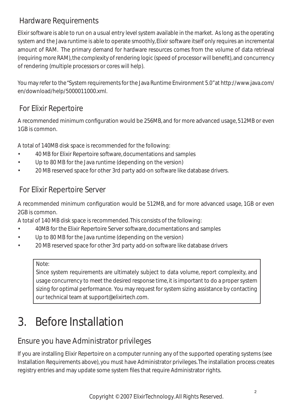#### <span id="page-2-0"></span>Hardware Requirements

Elixir software is able to run on a usual entry level system available in the market. As long as the operating system and the Java runtime is able to operate smoothly, Elixir software itself only requires an incremental amount of RAM. The primary demand for hardware resources comes from the volume of data retrieval (requiring more RAM), the complexity of rendering logic (speed of processor will benefit), and concurrency of rendering (multiple processors or cores will help).

You may refer to the "System requirements for the Java Runtime Environment 5.0" at http://www.java.com/ en/download/help/5000011000.xml.

#### For Elixir Repertoire

A recommended minimum configuration would be 256MB, and for more advanced usage, 512MB or even 1GB is common.

A total of 140MB disk space is recommended for the following:

- 40 MB for Elixir Repertoire software, documentations and samples
- Up to 80 MB for the Java runtime (depending on the version)
- 20 MB reserved space for other 3rd party add-on software like database drivers.

#### For Elixir Repertoire Server

A recommended minimum configuration would be 512MB, and for more advanced usage, 1GB or even 2GB is common.

A total of 140 MB disk space is recommended. This consists of the following:

- 40MB for the Elixir Repertoire Server software, documentations and samples
- Up to 80 MB for the Java runtime (depending on the version)
- 20 MB reserved space for other 3rd party add-on software like database drivers

#### Note:

Since system requirements are ultimately subject to data volume, report complexity, and usage concurrency to meet the desired response time, it is important to do a proper system sizing for optimal performance. You may request for system sizing assistance by contacting our technical team at support@elixirtech.com.

### 3. Before Installation

### Ensure you have Administrator privileges

If you are installing Elixir Repertoire on a computer running any of the supported operating systems (see Installation Requirements above), you must have Administrator privileges. The installation process creates registry entries and may update some system files that require Administrator rights.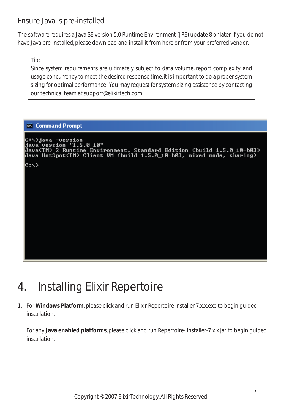#### <span id="page-3-0"></span>Ensure Java is pre-installed

The software requires a Java SE version 5.0 Runtime Environment (JRE) update 8 or later. If you do not have Java pre-installed, please download and install it from here or from your preferred vendor.

Tip:

Since system requirements are ultimately subject to data volume, report complexity, and usage concurrency to meet the desired response time, it is important to do a proper system sizing for optimal performance. You may request for system sizing assistance by contacting our technical team at support@elixirtech.com.

#### <sup>ox</sup> Command Prompt

```
C:\>java -version<br>java version "1.5.0_10"<br>Java(TM) 2 Runtime Environment, Standard Edition (build 1.5.0_10-b03)<br>Java HotSpot(TM) Client UM (build 1.5.0_10-b03, mixed mode, sharing)
|{\rm c} : \scriptstyle\diagup
```
### 4. Installing Elixir Repertoire

For **Windows Platform**, please click and run Elixir Repertoire Installer 7.x.x.exe to begin guided 1. installation.

For any **Java enabled platforms**, please click and run Repertoire- Installer-7.x.x.jar to begin guided installation.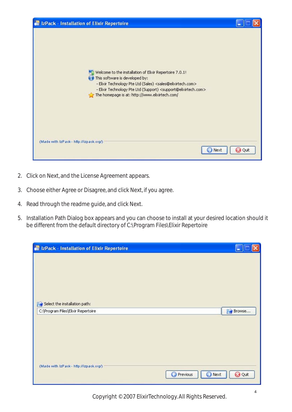| of IzPack - Installation of Elixir Repertoire                                                                                                                                                                                                                                                                                 |             |
|-------------------------------------------------------------------------------------------------------------------------------------------------------------------------------------------------------------------------------------------------------------------------------------------------------------------------------|-------------|
| Welcome to the installation of Elixir Repertoire 7.0.1!<br>This software is developed by:<br>- Elixir Technology Pte Ltd (Sales) <sales@elixirtech.com><br/>- Elixir Technology Pte Ltd (Support) <support@elixirtech.com><br/>The homepage is at: http://www.elixirtech.com/</support@elixirtech.com></sales@elixirtech.com> |             |
| (Made with IzPack - http://izpack.org/)<br>l Next                                                                                                                                                                                                                                                                             | <b>Quit</b> |

- 2. Click on Next, and the License Agreement appears.
- 3. Choose either Agree or Disagree, and click Next, if you agree.
- 4. Read through the readme guide, and click Next.
- 5. Installation Path Dialog box appears and you can choose to install at your desired location should it be different from the default directory of C:\Program Files\Elixir Repertoire

| <b>of</b> IzPack - Installation of Elixir Repertoire |                                 |
|------------------------------------------------------|---------------------------------|
| Select the installation path:                        |                                 |
| C:\Program Files\Elixir Repertoire                   | Browse                          |
|                                                      |                                 |
| (Made with IzPack - http://izpack.org/)              | <b>Previous</b><br>Quit<br>Next |

Copyright © 2007 ElixirTechnology. All Rights Reserved.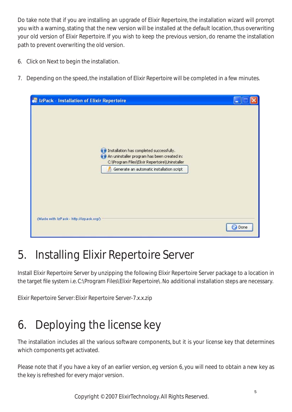<span id="page-5-0"></span>Do take note that if you are installing an upgrade of Elixir Repertoire, the installation wizard will prompt you with a warning, stating that the new version will be installed at the default location, thus overwriting your old version of Elixir Repertoire. If you wish to keep the previous version, do rename the installation path to prevent overwriting the old version.

- 6. Click on Next to begin the installation.
- 7. Depending on the speed, the installation of Elixir Repertoire will be completed in a few minutes.

| of IzPack - Installation of Elixir Repertoire                                                                                                                                                      |      |
|----------------------------------------------------------------------------------------------------------------------------------------------------------------------------------------------------|------|
| Installation has completed successfully.<br>Gi<br>An uninstaller program has been created in:<br>G1<br>C:\Program Files\Elixir Repertoire\Uninstaller<br>Generate an automatic installation script |      |
| (Made with IzPack - http://izpack.org/).                                                                                                                                                           | Done |

### 5. Installing Elixir Repertoire Server

Install Elixir Repertoire Server by unzipping the following Elixir Repertoire Server package to a location in the target file system i.e. C:\Program Files\Elixir Repertoire\. No additional installation steps are necessary.

Elixir Repertoire Server: Elixir Repertoire Server-7.x.x.zip

# 6. Deploying the license key

The installation includes all the various software components, but it is your license key that determines which components get activated.

Please note that if you have a key of an earlier version, eg version 6, you will need to obtain a new key as the key is refreshed for every major version.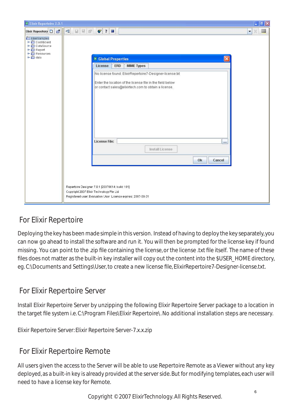| <sup>27</sup> Elixir Repertoire 7.0.1                                                 |                                                                                                                                                             | $  \mathbf{F}  \times$    |
|---------------------------------------------------------------------------------------|-------------------------------------------------------------------------------------------------------------------------------------------------------------|---------------------------|
| Elixir Repository D B                                                                 | 日日記<br>$\blacktriangleleft$<br>$\bullet$ ?                                                                                                                  | Ш<br>$\blacktriangledown$ |
| ElixirSamples<br>→<br>← Dashbard<br>← DataSource<br>← Report<br>← Resources<br>← Cata | $\overline{\mathsf{x}}$<br><b>X Global Properties</b>                                                                                                       |                           |
|                                                                                       | License<br>ERD<br><b>MIME Types</b>                                                                                                                         |                           |
|                                                                                       | No license found: ElixirRepertoire7-Designer-license.txt                                                                                                    |                           |
|                                                                                       | Enter the location of the license file in the field below<br>or contact sales@elixirtech.com to obtain a license.                                           |                           |
|                                                                                       | <b>License File:</b><br>$\cdots$                                                                                                                            |                           |
|                                                                                       | Install License                                                                                                                                             |                           |
|                                                                                       | Ok<br>Cancel                                                                                                                                                |                           |
|                                                                                       |                                                                                                                                                             |                           |
|                                                                                       |                                                                                                                                                             |                           |
|                                                                                       | Repertoire Designer 7.0.1 [20070614: build 101]<br>Copyright 2007 Elixir Technology Pte Ltd<br>Registered user: Evaluation User License expires: 2007-08-31 |                           |

### For Elixir Repertoire

Deploying the key has been made simple in this version. Instead of having to deploy the key separately, you can now go ahead to install the software and run it. You will then be prompted for the license key if found missing. You can point to the .zip file containing the license, or the license .txt file itself. The name of these files does not matter as the built-in key installer will copy out the content into the \$USER\_HOME directory, eg. C:\Documents and Settings\User, to create a new license file, ElixirRepertoire7-Designer-license.txt.

#### For Elixir Repertoire Server

Install Elixir Repertoire Server by unzipping the following Elixir Repertoire Server package to a location in the target file system i.e. C:\Program Files\Elixir Repertoire\. No additional installation steps are necessary.

Elixir Repertoire Server: Elixir Repertoire Server-7.x.x.zip

#### For Elixir Repertoire Remote

All users given the access to the Server will be able to use Repertoire Remote as a Viewer without any key deployed, as a built-in key is already provided at the server side. But for modifying templates, each user will need to have a license key for Remote.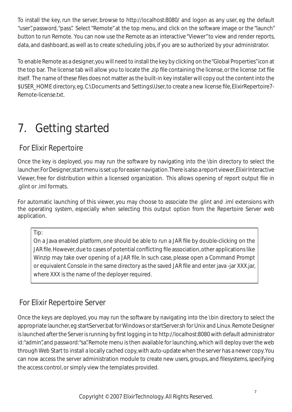<span id="page-7-0"></span>To install the key, run the server, browse to http://localhost:8080/ and logon as any user, eg the default "user", password, "pass". Select "Remote" at the top menu, and click on the software image or the "launch" button to run Remote. You can now use the Remote as an interactive "Viewer" to view and render reports, data, and dashboard, as well as to create scheduling jobs, if you are so authorized by your administrator.

To enable Remote as a designer, you will need to install the key by clicking on the "Global Properties" icon at the top bar. The license tab will allow you to locate the .zip file containing the license, or the license .txt file itself. The name of these files does not matter as the built-in key installer will copy out the content into the \$USER\_HOME directory, eg. C:\Documents and Settings\User, to create a new license file, ElixirRepertoire7- Remote-license.txt.

## 7. Getting started

#### For Elixir Repertoire

Once the key is deployed, you may run the software by navigating into the \bin directory to select the launcher. For Designer, start menu is set up for easier navigation. There is also a report viewer, Elixir Interactive Viewer, free for distribution within a licensed organization. This allows opening of report output file in .glint or .iml formats.

For automatic launching of this viewer, you may choose to associate the .glint and .iml extensions with the operating system, especially when selecting this output option from the Repertoire Server web application.

Tip:

On a Java enabled platform, one should be able to run a JAR file by double-clicking on the JAR file. However, due to cases of potential conflicting file association, other applications like Winzip may take over opening of a JAR file. In such case, please open a Command Prompt or equivalent Console in the same directory as the saved JAR file and enter java -jar XXX.jar, where XXX is the name of the deployer required.

### For Elixir Repertoire Server

Once the keys are deployed, you may run the software by navigating into the \bin directory to select the appropriate launcher, eg startServer.bat for Windows or startServer.sh for Unix and Linux. Remote Designer is launched after the Server is running by first logging in to http://localhost:8080 with default administrator id: "admin", and password: "sa". Remote menu is then available for launching, which will deploy over the web through Web Start to install a locally cached copy, with auto-update when the server has a newer copy. You can now access the server administration module to create new users, groups, and filesystems, specifying the access control, or simply view the templates provided.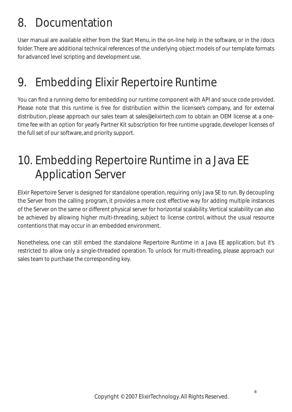### <span id="page-8-0"></span>8. Documentation

User manual are available either from the Start Menu, in the on-line help in the software, or in the /docs folder. There are additional technical references of the underlying object models of our template formats for advanced level scripting and development use.

### 9. Embedding Elixir Repertoire Runtime

You can find a running demo for embedding our runtime component with API and souce code provided. Please note that this runtime is free for distribution within the licensee's company, and for external distribution, please approach our sales team at sales@elixirtech.com to obtain an OEM license at a onetime fee with an option for yearly Partner Kit subscription for free runtime upgrade, developer licenses of the full set of our software, and priority support.

### 10. Embedding Repertoire Runtime in a Java EE Application Server

Elixir Repertoire Server is designed for standalone operation, requiring only Java SE to run. By decoupling the Server from the calling program, it provides a more cost effective way for adding multiple instances of the Server on the same or different physical server for horizontal scalability. Vertical scalability can also be achieved by allowing higher multi-threading, subject to license control, without the usual resource contentions that may occur in an embedded environment.

Nonetheless, one can still embed the standalone Repertoire Runtime in a Java EE application, but it's restricted to allow only a single-threaded operation. To unlock for multi-threading, please approach our sales team to purchase the corresponding key.